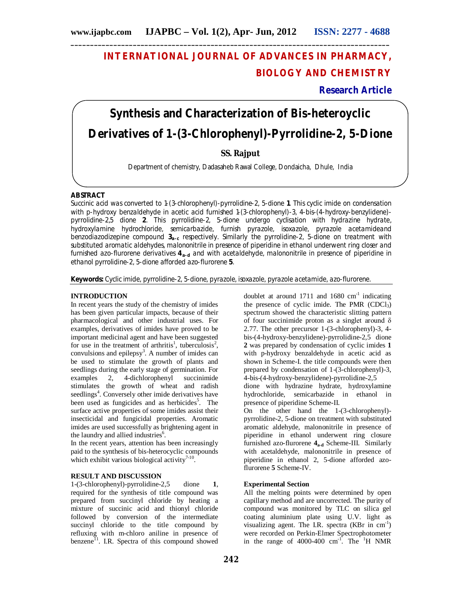# **INTERNATIONAL JOURNAL OF ADVANCES IN PHARMACY, BIOLOGY AND CHEMISTRY**

**Research Article**

# **Synthesis and Characterization of Bis-heteroyclic Derivatives of 1-(3-Chlorophenyl)-Pyrrolidine-2, 5-Dione**

# **SS. Rajput**

Department of chemistry, Dadasaheb Rawal College, Dondaicha, Dhule, India

#### **ABSTRACT**

Succinic acid was converted to 1-(3-chlorophenyl)-pyrrolidine-2, 5-dione **1**. This cyclic imide on condensation with p-hydroxy benzaldehyde in acetic acid furnished 1-(3-chlorophenyl)-3, 4-bis-(4-hydroxy-benzylidene) pyrrolidine-2,5 dione **2**. This pyrrolidine-2, 5-dione undergo cyclisation with hydrazine hydrate, hydroxylamine hydrochloride, semicarbazide, furnish pyrazole, isoxazole, pyrazole acetamideand benzodiazodizepine compound **3a-c** respectively. Similarly the pyrrolidine-2, 5-dione on treatment with substituted aromatic aldehydes, malononitrile in presence of piperidine in ethanol underwent ring closer and furnished azo-flurorene derivatives 4<sub>a-d</sub> and with acetaldehyde, malononitrile in presence of piperidine in ethanol pyrrolidine-2, 5-dione afforded azo-flurorene **5**.

**Keywords:** Cyclic imide, pyrrolidine-2, 5-dione, pyrazole, isoxazole, pyrazole acetamide, azo-flurorene.

### **INTRODUCTION**

In recent years the study of the chemistry of imides has been given particular impacts, because of their pharmacological and other industrial uses. For examples, derivatives of imides have proved to be important medicinal agent and have been suggested for use in the treatment of arthritis<sup>1</sup>, tuberculosis<sup>2</sup>, convulsions and epilepsy<sup>3</sup>. A number of imides can be used to stimulate the growth of plants and seedlings during the early stage of germination. For examples 2, 4-dichlorophenyl succinimide stimulates the growth of wheat and radish seedlings<sup>4</sup>. Conversely other imide derivatives have been used as fungicides and as herbicides<sup>5</sup>. The surface active properties of some imides assist their insecticidal and fungicidal properties. Aromatic imides are used successfully as brightening agent in the laundry and allied industries<sup>6</sup>.

In the recent years, attention has been increasingly paid to the synthesis of bis-heterocyclic compounds which exhibit various biological activity $7-10$ .

#### **RESULT AND DISCUSSION**

1-(3-chlorophenyl)-pyrrolidine-2,5 dione **1**, required for the synthesis of title compound was prepared from succinyl chloride by heating a mixture of succinic acid and thionyl chloride followed by conversion of the intermediate succinyl chloride to the title compound by refluxing with m-chloro aniline in presence of benzene<sup>11</sup>. I.R. Spectra of this compound showed

doublet at around  $1711$  and  $1680$  cm<sup>-1</sup> indicating the presence of cyclic imide. The PMR  $(CDC1<sub>3</sub>)$ spectrum showed the characteristic slitting pattern of four succinimide proton as a singlet around  $\delta$ 2.77. The other precursor 1-(3-chlorophenyl)-3, 4 bis-(4-hydroxy-benzylidene)-pyrrolidine-2,5 dione **2** was prepared by condensation of cyclic imides **1**  with p-hydroxy benzaldehyde in acetic acid as shown in Scheme-I. the title compounds were then prepared by condensation of 1-(3-chlorophenyl)-3, 4-bis-(4-hydroxy-benzylidene)-pyrrolidine-2,5

dione with hydrazine hydrate, hydroxylamine hydrochloride, semicarbazide in ethanol in presence of piperidine Scheme-II.

On the other hand the 1-(3-chlorophenyl) pyrrolidine-2, 5-dione on treatment with substituted aromatic aldehyde, malononitrile in presence of piperidine in ethanol underwent ring closure furnished azo-flurorene **4a-d** Scheme-III. Similarly with acetaldehyde, malononitrile in presence of piperidine in ethanol 2, 5-dione afforded azoflurorene **5** Scheme-IV.

#### **Experimental Section**

All the melting points were determined by open capillary method and are uncorrected. The purity of compound was monitored by TLC on silica gel coating aluminium plate using U.V. light as visualizing agent. The I.R. spectra  $(KBr \text{ in } cm^{-1})$ were recorded on Perkin-Elmer Spectrophotometer in the range of  $4000-400$  cm<sup>-1</sup>. The <sup>1</sup>H NMR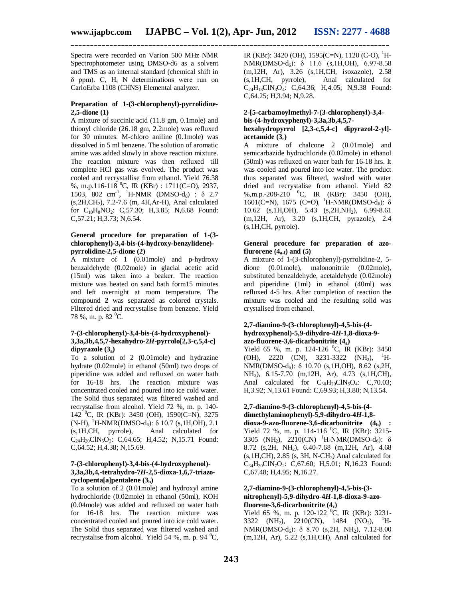Spectra were recorded on Varion 500 MHz NMR Spectrophotometer using DMSO-d6 as a solvent and TMS as an internal standard (chemical shift in δ ppm). C, H, N determinations were run on CarloErba 1108 (CHNS) Elemental analyzer.

#### **Preparation of 1-(3-chlorophenyl)-pyrrolidine-2,5-dione (1)**

A mixture of succinic acid (11.8 gm, 0.1mole) and thionyl chloride (26.18 gm, 2.2mole) was refluxed for 30 minutes. M-chloro aniline (0.1mole) was dissolved in 5 ml benzene. The solution of aromatic amine was added slowly in above reaction mixture. The reaction mixture was then refluxed till complete HCl gas was evolved. The product was cooled and recrystallise from ethanol. Yield 76.38 %, m.p.116-118 <sup>0</sup>C, IR (KBr) : 1711(C=O), 2937, 1503, 802 cm<sup>-1</sup>, <sup>1</sup>H-NMR (DMSO-d<sub>6</sub>) :  $\delta$  2.7 (s,2H,CH2), 7.2-7.6 (m, 4H,Ar-H), Anal calculated for C<sub>10</sub>H<sub>8</sub>NO<sub>2</sub>: C,57.30; H,3.85; N,6.68 Found: C,57.21; H,3.73; N,6.54.

#### **General procedure for preparation of 1-(3 chlorophenyl)-3,4-bis-(4-hydroxy-benzylidene) pyrrolidine-2,5-dione (2)**

A mixture of 1 (0.01mole) and p-hydroxy benzaldehyde (0.02mole) in glacial acetic acid (15ml) was taken into a beaker. The reaction mixture was heated on sand bath form15 minutes and left overnight at room temperature. The compound **2** was separated as colored crystals. Filtered dried and recrystalise from benzene. Yield 78 %, m. p. 82  $^0C$ .

#### **7-(3-chlorophenyl)-3,4-bis-(4-hydroxyphenol)- 3,3a,3b,4,5,7-hexahydro-2***H***-pyrrolo[2,3-c,5,4-c] dipyrazole (3a)**

To a solution of 2 (0.01mole) and hydrazine hydrate (0.02mole) in ethanol (50ml) two drops of piperidine was added and refluxed on water bath for 16-18 hrs. The reaction mixture was concentrated cooled and poured into ice cold water. The Solid thus separated was filtered washed and recrystalise from alcohol. Yield 72 %, m. p. 140- 142 <sup>o</sup>C, IR (KBr): 3450 (OH), 1590(C=N), 3275  $(N-H)$ , <sup>1</sup>H-NMR(DMSO-d<sub>6</sub>): δ 10.7 (s, 1H, OH), 2.1 (s,1H,CH, pyrrole), Anal calculated for C<sub>24</sub>H<sub>20</sub>ClN<sub>5</sub>O<sub>2</sub>: C,64.65; H,4.52; N,15.71 Found: C,64.52; H,4.38; N,15.69.

#### **7-(3-chlorophenyl)-3,4-bis-(4-hydroxyphenol)- 3,3a,3b,4,-tetrahydro-7***H***-2,5-dioxa-1,6,7-triazocyclopenta[a]pentalene (3b)**

To a solution of 2 (0.01mole) and hydroxyl amine hydrochloride (0.02mole) in ethanol (50ml), KOH (0.04mole) was added and refluxed on water bath for 16-18 hrs. The reaction mixture was concentrated cooled and poured into ice cold water. The Solid thus separated was filtered washed and recrystalise from alcohol. Yield 54 %, m. p. 94  $^0C$ ,

IR (KBr): 3420 (OH), 1595(C=N), 1120 (C-O),  ${}^{1}$ H- $NMR(DMSO-d<sub>6</sub>)$ :  $\delta$  11.6 (s, 1H, OH), 6.97-8.58 (m,12H, Ar), 3.26 (s,1H,CH, isoxazole), 2.58 Anal calculated for  $C_{24}H_{18}CIN_3O_4$ : C,64.36; H,4.05; N,9.38 Found: C,64.25; H,3.94; N,9.28.

#### **2-[5-carbamoylmethyl-7-(3-chlorophenyl)-3,4 bis-(4-hydroxyphenyl)-3,3a,3b,4,5,7 hexahydropyrrol [2,3-c,5,4-c] dipyrazol-2-yl] acetamide (3c)**

A mixture of chalcone 2 (0.01mole) and semicarbazide hydrochloride (0.02mole) in ethanol (50ml) was refluxed on water bath for 16-18 hrs. It was cooled and poured into ice water. The product thus separated was filtered, washed with water dried and recrystalise from ethanol. Yield 82 %,m.p.-208-210 <sup>0</sup>C, IR (KBr): 3450 (OH), 1601(C=N), 1675 (C=O), <sup>1</sup>H-NMR(DMSO-d<sub>6</sub>): δ 10.62 (s, 1H, OH), 5.43 (s, 2H, NH<sub>2</sub>), 6.99-8.61 (m,12H, Ar), 3.20 (s,1H,CH, pyrazole), 2.4 (s,1H,CH, pyrrole).

#### **General procedure for preparation of azoflurorene**  $(4_{a}$ **f** $)$  and  $(5)$

A mixture of 1-(3-chlorophenyl)-pyrrolidine-2, 5 dione (0.01mole), malononitrile (0.02mole), substituted benzaldehyde, acetaldehyde (0.02mole) and piperidine (1ml) in ethanol (40ml) was refluxed 4-5 hrs. After completion of reaction the mixture was cooled and the resulting solid was crystalised from ethanol.

#### **2,7-diamino-9-(3-chlorophenyl)-4,5-bis-(4 hydroxyphenol)-5,9-dihydro-4***H***-1,8-dioxa-9 azo-fluorene-3,6-dicarbonitrite (4a)**

Yield 65 %, m. p. 124-126  $^0C$ , IR (KBr): 3450 (OH), 2220 (CN), 3231-3322 (NH<sub>2</sub>), <sup>1</sup>H-NMR(DMSO-d6): δ 10.70 (s,1H,OH), 8.62 (s,2H, NH2), 6.15-7.70 (m,12H, Ar), 4.73 (s,1H,CH), Anal calculated for  $C_{30}H_{20}CIN_5O_4$ : C,70.03; H,3.92; N,13.61 Found: C,69.93; H,3.80; N,13.54.

## **2,7-diamino-9-(3-chlorophenyl)-4,5-bis-(4 dimethylaminophenyl)-5,9-dihydro-4***H***-1,8-**

**dioxa-9-azo-fluorene-3,6-dicarbonitrite (4b) :**  Yield 72 %, m. p. 114-116  $^{0}C$ , IR (KBr): 3215-3305 (NH<sub>2</sub>), 2210(CN) <sup>1</sup>H-NMR(DMSO-d<sub>6</sub>):  $\delta$ 8.72 (s, 2H, NH<sub>2</sub>), 6.40-7.68 (m, 12H, Ar), 4.68  $(s, 1H, CH)$ , 2.85  $(s, 3H, N-CH<sub>3</sub>)$  Anal calculated for  $C_{34}H_{30}C1N_7O_2$ : C,67.60; H,5.01; N,16.23 Found: C,67.48; H,4.95; N,16.27.

#### **2,7-diamino-9-(3-chlorophenyl)-4,5-bis-(3 nitrophenyl)-5,9-dihydro-4***H***-1,8-dioxa-9-azofluorene-3,6-dicarbonitrite (4c)**

Yield 65 %, m. p. 120-122  $^{0}C$ , IR (KBr): 3231-3322 (NH<sub>2</sub>), 2210(CN), 1484 (NO<sub>2</sub>), <sup>1</sup>H- $NMR(DMSO-d<sub>6</sub>)$ : δ 8.70 (s, 2H, NH<sub>2</sub>), 7.12-8.00 (m,12H, Ar), 5.22 (s,1H,CH), Anal calculated for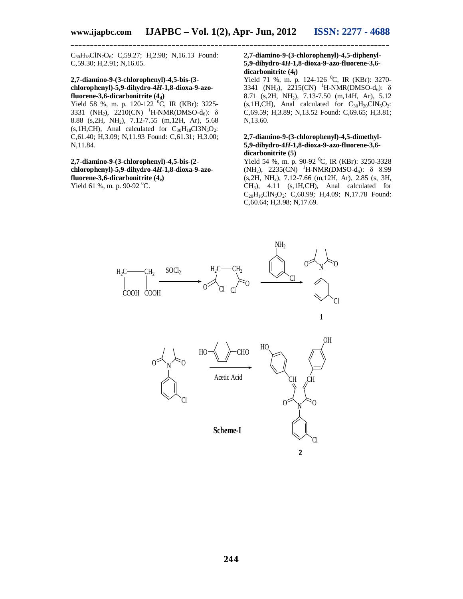C30H18ClN7O6: C,59.27; H,2.98; N,16.13 Found: C,59.30; H,2.91; N,16.05.

#### **2,7-diamino-9-(3-chlorophenyl)-4,5-bis-(3 chlorophenyl)-5,9-dihydro-4***H***-1,8-dioxa-9-azofluorene-3,6-dicarbonitrite (4<sub>d</sub>**)

Yield 58 %, m. p. 120-122  $^{0}C$ , IR (KBr): 3225-3331 (NH<sub>2</sub>), 2210(CN) <sup>1</sup>H-NMR(DMSO-d<sub>6</sub>):  $\delta$ 8.88 (s,2H, NH2), 7.12-7.55 (m,12H, Ar), 5.68  $(s,1H,CH)$ , Anal calculated for  $C_{30}H_{18}Cl3N_5O_2$ : C,61.40; H,3.09; N,11.93 Found: C,61.31; H,3.00; N,11.84.

#### **2,7-diamino-9-(3-chlorophenyl)-4,5-bis-(2 chlorophenyl)-5,9-dihydro-4***H***-1,8-dioxa-9-azofluorene-3,6-dicarbonitrite (4e)** Yield 61 %, m. p. 90-92  $^0C$ .

#### **2,7-diamino-9-(3-chlorophenyl)-4,5-diphenyl-5,9-dihydro-4***H***-1,8-dioxa-9-azo-fluorene-3,6 dicarbonitrite (4f)**

Yield 71 %, m. p. 124-126 <sup>0</sup>C, IR (KBr): 3270-3341 (NH<sub>2</sub>), 2215(CN) <sup>1</sup>H-NMR(DMSO-d<sub>6</sub>):  $\delta$ 8.71 (s,2H, NH2), 7.13-7.50 (m,14H, Ar), 5.12  $(s, 1H, CH)$ , Anal calculated for  $C_{30}H_{20}CIN_5O_2$ : C,69.59; H,3.89; N,13.52 Found: C,69.65; H,3.81; N,13.60.

#### **2,7-diamino-9-(3-chlorophenyl)-4,5-dimethyl-5,9-dihydro-4***H***-1,8-dioxa-9-azo-fluorene-3,6 dicarbonitrite (5)**

Yield 54 %, m. p. 90-92  $^0C$ , IR (KBr): 3250-3328 (NH<sub>2</sub>), 2235(CN) <sup>1</sup>H-NMR(DMSO-d<sub>6</sub>):  $\delta$  8.99 (s,2H, NH2), 7.12-7.66 (m,12H, Ar), 2.85 (s, 3H, CH3), 4.11 (s,1H,CH), Anal calculated for  $C_{20}H_{16}CIN_5O_2$ : C,60.99; H,4.09; N,17.78 Found: C,60.64; H,3.98; N,17.69.

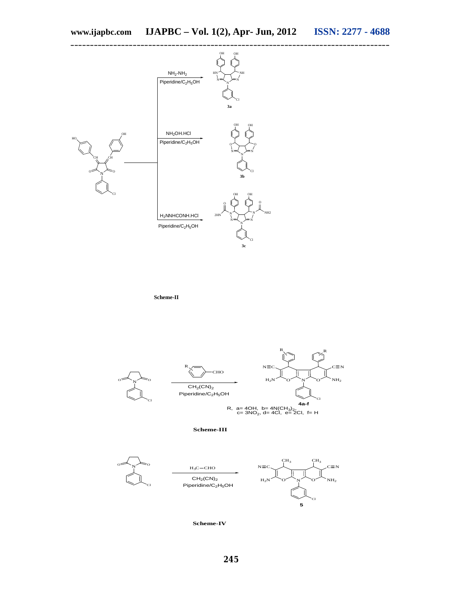

**Scheme-II**



**Scheme-III**



**Scheme-IV**